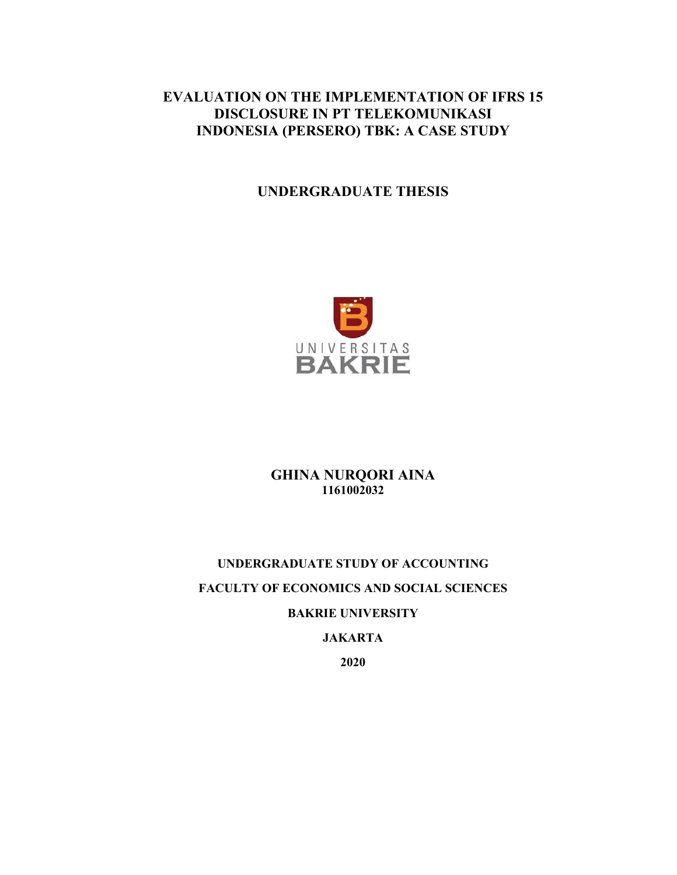# **EVALUATION ON THE IMPLEMENTATION OF IFRS 15 DISCLOSURE IN PT TELEKOMUNIKASI INDONESIA (PERSERO) TBK: A CASE STUDY**

# **UNDERGRADUATE THESIS**



**GHINA NURQORI AINA 1161002032** 

# **UNDERGRADUATE STUDY OF ACCOUNTING FACULTY OF ECONOMICS AND SOCIAL SCIENCES BAKRIE UNIVERSITY JAKARTA**

**2020**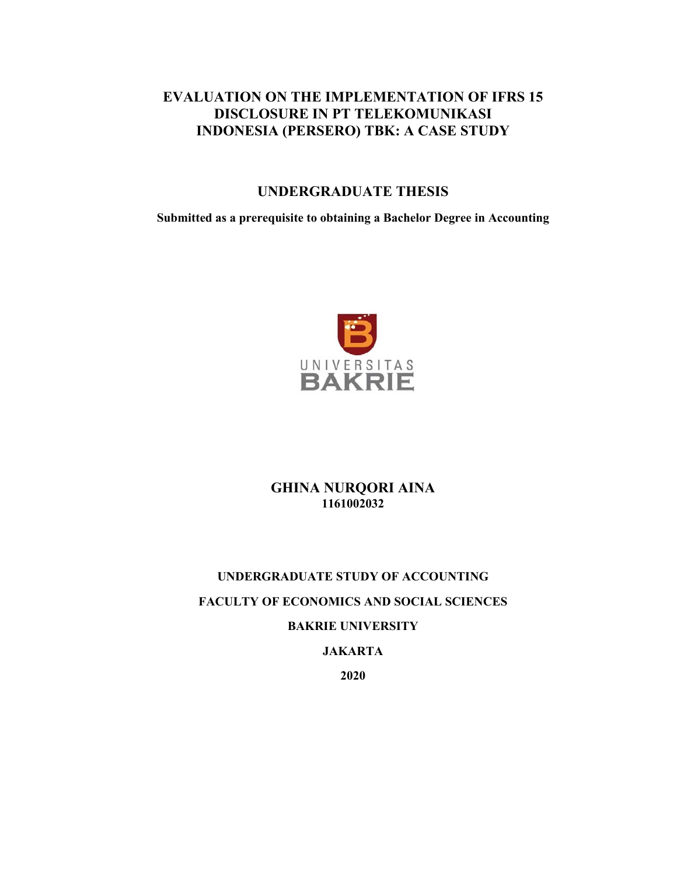# **EVALUATION ON THE IMPLEMENTATION OF IFRS 15 DISCLOSURE IN PT TELEKOMUNIKASI INDONESIA (PERSERO) TBK: A CASE STUDY**

## **UNDERGRADUATE THESIS**

**Submitted as a prerequisite to obtaining a Bachelor Degree in Accounting** 



## **GHINA NURQORI AINA 1161002032**

# **UNDERGRADUATE STUDY OF ACCOUNTING FACULTY OF ECONOMICS AND SOCIAL SCIENCES BAKRIE UNIVERSITY**

## **JAKARTA**

**2020**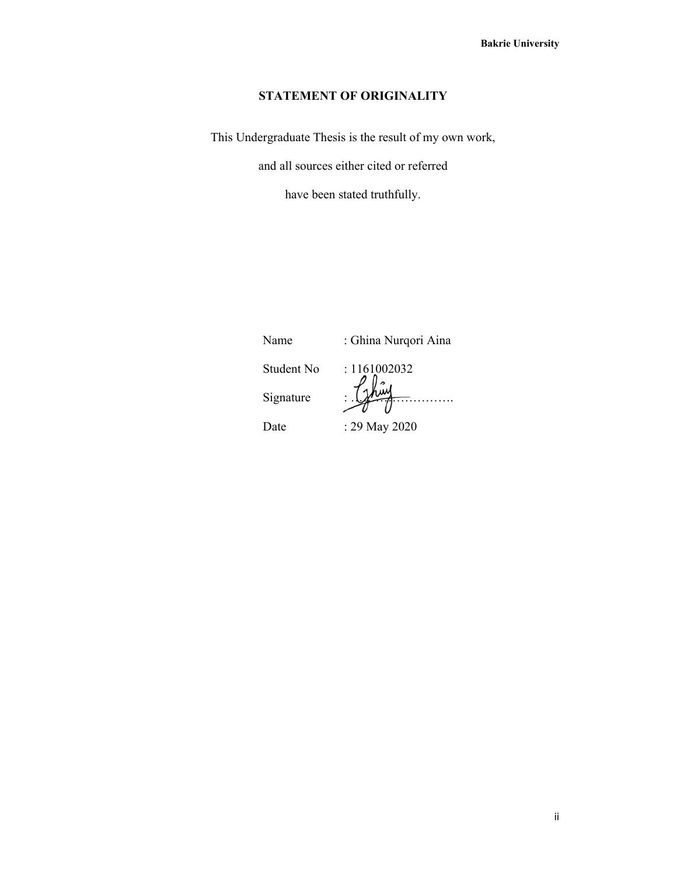## **STATEMENT OF ORIGINALITY**

This Undergraduate Thesis is the result of my own work,

and all sources either cited or referred

have been stated truthfully.

Name : Ghina Nurqori Aina

Student No : 1161002032 Signature : ……………………. Date : 29 May 2020

ii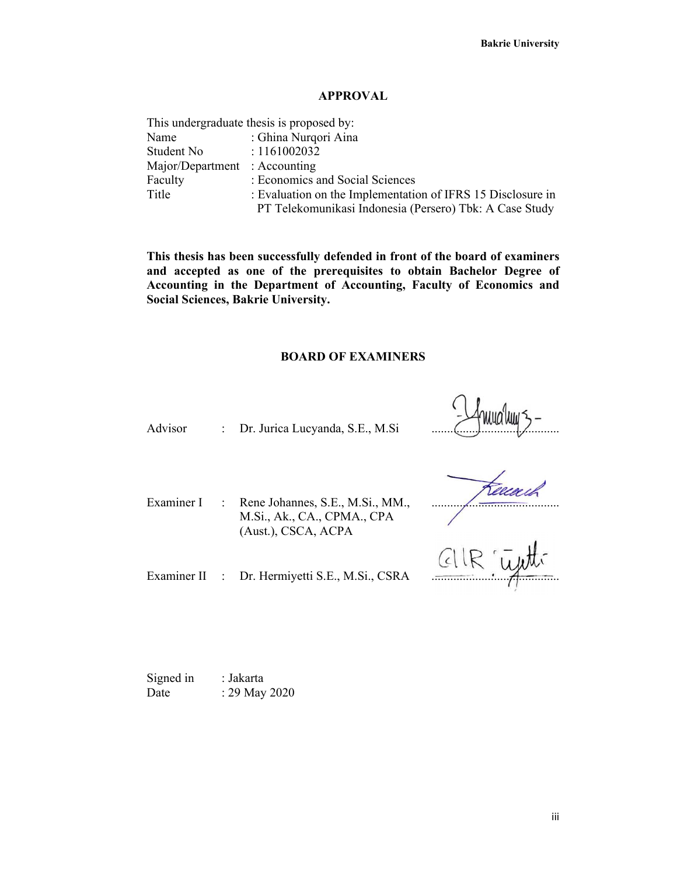#### **APPROVAL**

|                               | This undergraduate thesis is proposed by:                   |
|-------------------------------|-------------------------------------------------------------|
| Name                          | : Ghina Nurqori Aina                                        |
| Student No                    | : 1161002032                                                |
| Major/Department : Accounting |                                                             |
| Faculty                       | : Economics and Social Sciences                             |
| Title                         | : Evaluation on the Implementation of IFRS 15 Disclosure in |
|                               | PT Telekomunikasi Indonesia (Persero) Tbk: A Case Study     |

**This thesis has been successfully defended in front of the board of examiners and accepted as one of the prerequisites to obtain Bachelor Degree of Accounting in the Department of Accounting, Faculty of Economics and Social Sciences, Bakrie University.** 

#### **BOARD OF EXAMINERS**

Advisor : Dr. Jurica Lucyanda, S.E., M.Si

Examiner I : Rene Johannes, S.E., M.Si., MM., M.Si., Ak., CA., CPMA., CPA (Aust.), CSCA, ACPA

.........................................

Examiner II : Dr. Hermiyetti S.E., M.Si., CSRA

Signed in : Jakarta Date : 29 May 2020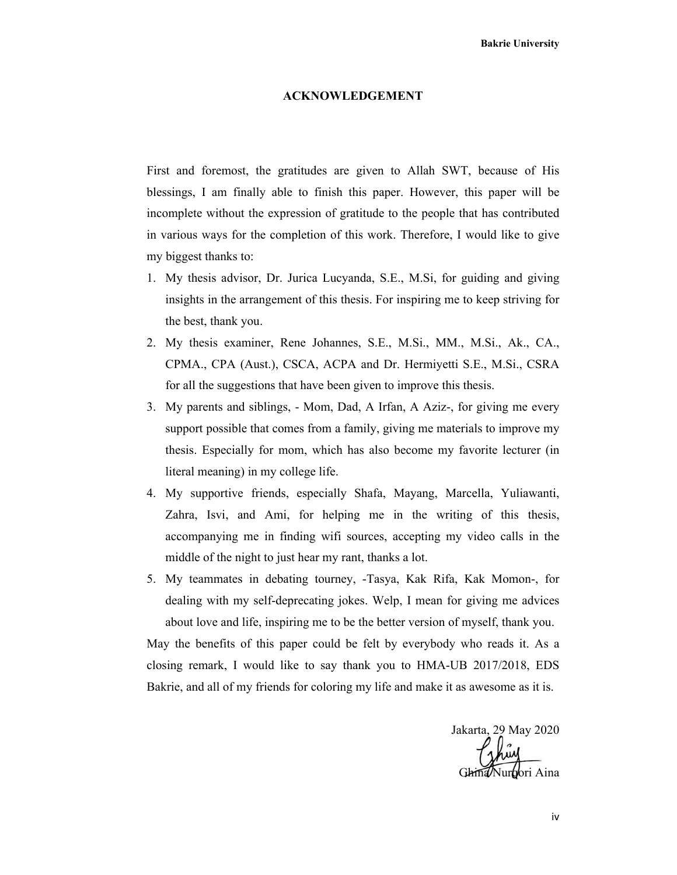#### **ACKNOWLEDGEMENT**

First and foremost, the gratitudes are given to Allah SWT, because of His blessings, I am finally able to finish this paper. However, this paper will be incomplete without the expression of gratitude to the people that has contributed in various ways for the completion of this work. Therefore, I would like to give my biggest thanks to:

- 1. My thesis advisor, Dr. Jurica Lucyanda, S.E., M.Si, for guiding and giving insights in the arrangement of this thesis. For inspiring me to keep striving for the best, thank you.
- 2. My thesis examiner, Rene Johannes, S.E., M.Si., MM., M.Si., Ak., CA., CPMA., CPA (Aust.), CSCA, ACPA and Dr. Hermiyetti S.E., M.Si., CSRA for all the suggestions that have been given to improve this thesis.
- 3. My parents and siblings, Mom, Dad, A Irfan, A Aziz-, for giving me every support possible that comes from a family, giving me materials to improve my thesis. Especially for mom, which has also become my favorite lecturer (in literal meaning) in my college life.
- 4. My supportive friends, especially Shafa, Mayang, Marcella, Yuliawanti, Zahra, Isvi, and Ami, for helping me in the writing of this thesis, accompanying me in finding wifi sources, accepting my video calls in the middle of the night to just hear my rant, thanks a lot.
- 5. My teammates in debating tourney, -Tasya, Kak Rifa, Kak Momon-, for dealing with my self-deprecating jokes. Welp, I mean for giving me advices about love and life, inspiring me to be the better version of myself, thank you.

May the benefits of this paper could be felt by everybody who reads it. As a closing remark, I would like to say thank you to HMA-UB 2017/2018, EDS Bakrie, and all of my friends for coloring my life and make it as awesome as it is.

Jakarta, 29 May 2020 Jur**b**ori Aina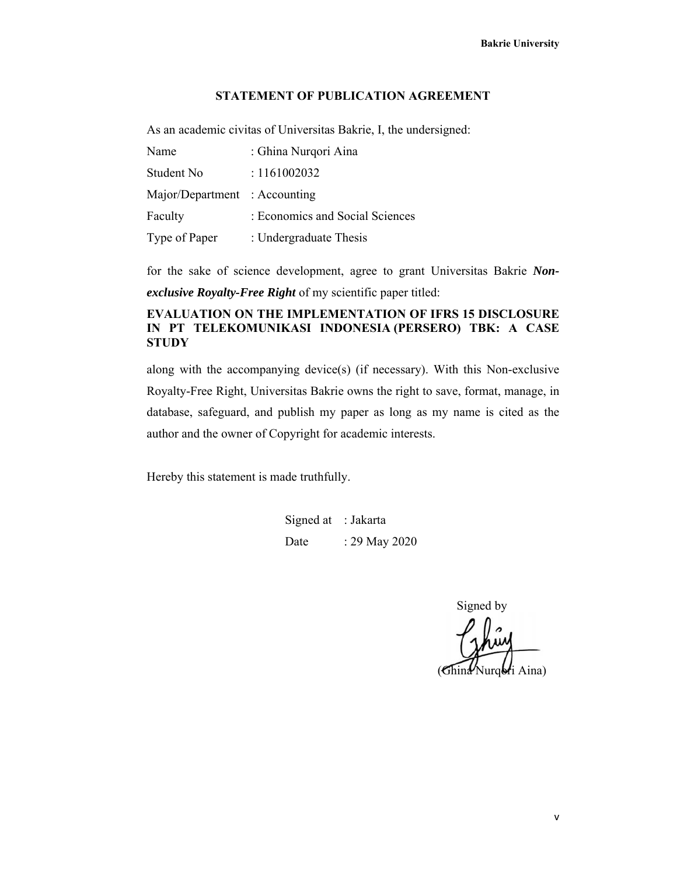#### **STATEMENT OF PUBLICATION AGREEMENT**

As an academic civitas of Universitas Bakrie, I, the undersigned:

| Name                          | : Ghina Nurqori Aina            |
|-------------------------------|---------------------------------|
| Student No                    | : 1161002032                    |
| Major/Department : Accounting |                                 |
| Faculty                       | : Economics and Social Sciences |
| Type of Paper                 | : Undergraduate Thesis          |

for the sake of science development, agree to grant Universitas Bakrie *Nonexclusive Royalty-Free Right* of my scientific paper titled:

#### **EVALUATION ON THE IMPLEMENTATION OF IFRS 15 DISCLOSURE IN PT TELEKOMUNIKASI INDONESIA (PERSERO) TBK: A CASE STUDY**

along with the accompanying device(s) (if necessary). With this Non-exclusive Royalty-Free Right, Universitas Bakrie owns the right to save, format, manage, in database, safeguard, and publish my paper as long as my name is cited as the author and the owner of Copyright for academic interests.

Hereby this statement is made truthfully.

Signed at : Jakarta Date : 29 May 2020

Signed by (Ghina Nurqoti Aina)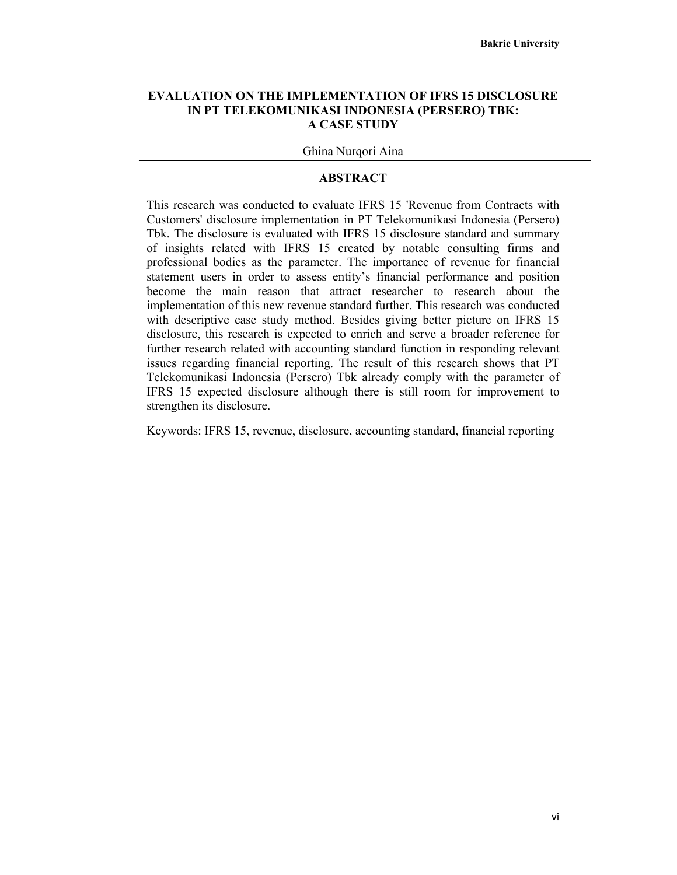#### **EVALUATION ON THE IMPLEMENTATION OF IFRS 15 DISCLOSURE IN PT TELEKOMUNIKASI INDONESIA (PERSERO) TBK: A CASE STUDY**

#### Ghina Nurqori Aina

#### **ABSTRACT**

This research was conducted to evaluate IFRS 15 'Revenue from Contracts with Customers' disclosure implementation in PT Telekomunikasi Indonesia (Persero) Tbk. The disclosure is evaluated with IFRS 15 disclosure standard and summary of insights related with IFRS 15 created by notable consulting firms and professional bodies as the parameter. The importance of revenue for financial statement users in order to assess entity's financial performance and position become the main reason that attract researcher to research about the implementation of this new revenue standard further. This research was conducted with descriptive case study method. Besides giving better picture on IFRS 15 disclosure, this research is expected to enrich and serve a broader reference for further research related with accounting standard function in responding relevant issues regarding financial reporting. The result of this research shows that PT Telekomunikasi Indonesia (Persero) Tbk already comply with the parameter of IFRS 15 expected disclosure although there is still room for improvement to strengthen its disclosure.

Keywords: IFRS 15, revenue, disclosure, accounting standard, financial reporting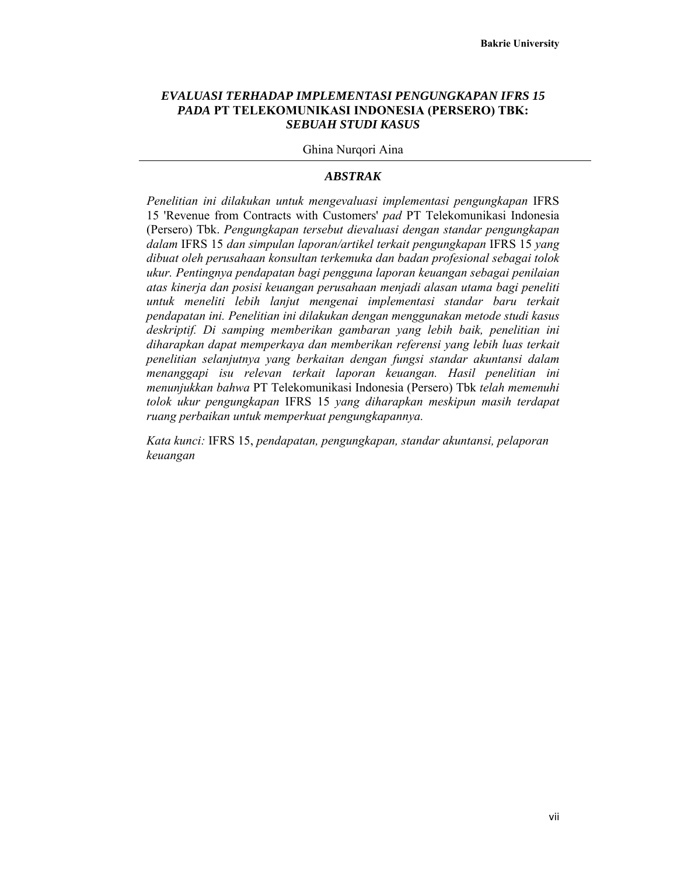#### *EVALUASI TERHADAP IMPLEMENTASI PENGUNGKAPAN IFRS 15 PADA* **PT TELEKOMUNIKASI INDONESIA (PERSERO) TBK:** *SEBUAH STUDI KASUS*

Ghina Nurqori Aina

#### *ABSTRAK*

*Penelitian ini dilakukan untuk mengevaluasi implementasi pengungkapan* IFRS 15 'Revenue from Contracts with Customers' *pad* PT Telekomunikasi Indonesia (Persero) Tbk. *Pengungkapan tersebut dievaluasi dengan standar pengungkapan dalam* IFRS 15 *dan simpulan laporan/artikel terkait pengungkapan* IFRS 15 *yang dibuat oleh perusahaan konsultan terkemuka dan badan profesional sebagai tolok ukur. Pentingnya pendapatan bagi pengguna laporan keuangan sebagai penilaian atas kinerja dan posisi keuangan perusahaan menjadi alasan utama bagi peneliti untuk meneliti lebih lanjut mengenai implementasi standar baru terkait pendapatan ini. Penelitian ini dilakukan dengan menggunakan metode studi kasus deskriptif. Di samping memberikan gambaran yang lebih baik, penelitian ini diharapkan dapat memperkaya dan memberikan referensi yang lebih luas terkait penelitian selanjutnya yang berkaitan dengan fungsi standar akuntansi dalam menanggapi isu relevan terkait laporan keuangan. Hasil penelitian ini menunjukkan bahwa* PT Telekomunikasi Indonesia (Persero) Tbk *telah memenuhi tolok ukur pengungkapan* IFRS 15 *yang diharapkan meskipun masih terdapat ruang perbaikan untuk memperkuat pengungkapannya.*

*Kata kunci:* IFRS 15, *pendapatan, pengungkapan, standar akuntansi, pelaporan keuangan*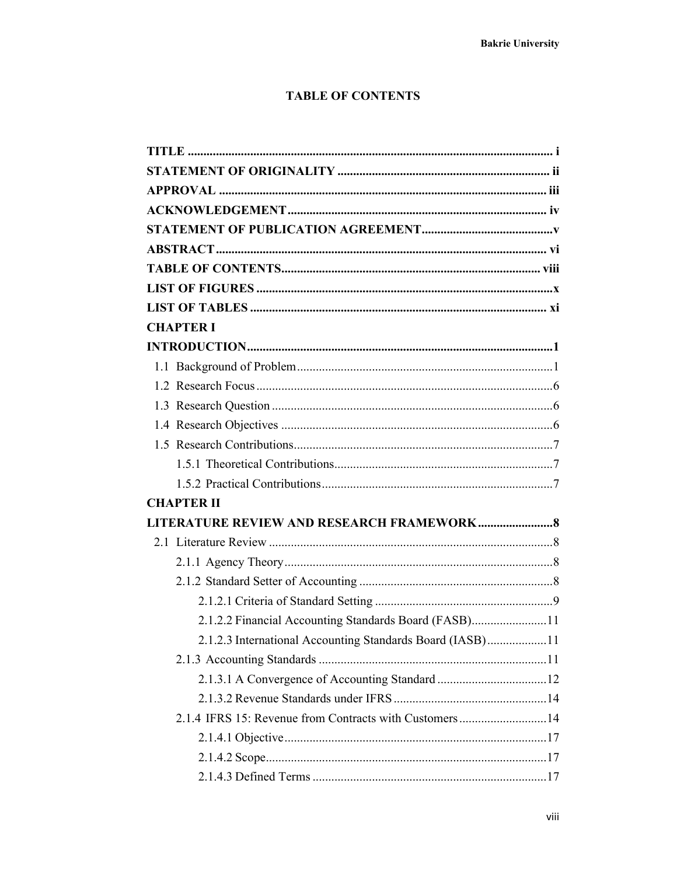## **TABLE OF CONTENTS**

| <b>CHAPTER I</b>                                          |  |
|-----------------------------------------------------------|--|
|                                                           |  |
|                                                           |  |
|                                                           |  |
|                                                           |  |
|                                                           |  |
|                                                           |  |
|                                                           |  |
|                                                           |  |
| <b>CHAPTER II</b>                                         |  |
| LITERATURE REVIEW AND RESEARCH FRAMEWORK 8                |  |
|                                                           |  |
|                                                           |  |
|                                                           |  |
|                                                           |  |
| 2.1.2.2 Financial Accounting Standards Board (FASB)11     |  |
| 2.1.2.3 International Accounting Standards Board (IASB)11 |  |
|                                                           |  |
|                                                           |  |
|                                                           |  |
| 2.1.4 IFRS 15: Revenue from Contracts with Customers14    |  |
|                                                           |  |
|                                                           |  |
|                                                           |  |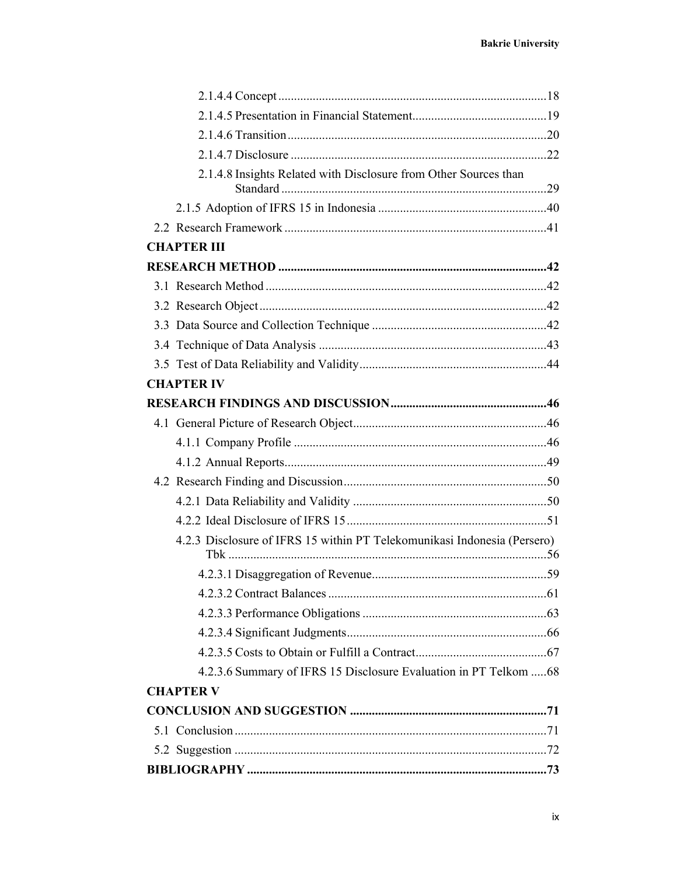| 2.1.4.8 Insights Related with Disclosure from Other Sources than         |  |
|--------------------------------------------------------------------------|--|
|                                                                          |  |
|                                                                          |  |
| <b>CHAPTER III</b>                                                       |  |
|                                                                          |  |
|                                                                          |  |
|                                                                          |  |
|                                                                          |  |
|                                                                          |  |
|                                                                          |  |
| <b>CHAPTER IV</b>                                                        |  |
|                                                                          |  |
|                                                                          |  |
|                                                                          |  |
|                                                                          |  |
|                                                                          |  |
|                                                                          |  |
|                                                                          |  |
| 4.2.3 Disclosure of IFRS 15 within PT Telekomunikasi Indonesia (Persero) |  |
|                                                                          |  |
|                                                                          |  |
|                                                                          |  |
|                                                                          |  |
|                                                                          |  |
| 4.2.3.6 Summary of IFRS 15 Disclosure Evaluation in PT Telkom  68        |  |
| <b>CHAPTER V</b>                                                         |  |
|                                                                          |  |
|                                                                          |  |
|                                                                          |  |
|                                                                          |  |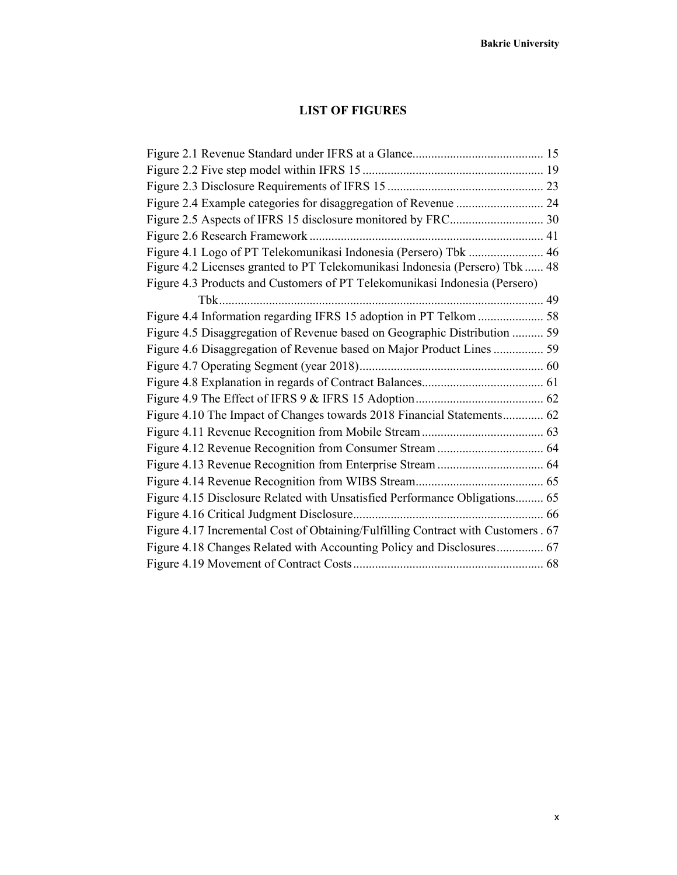## **LIST OF FIGURES**

| Figure 4.1 Logo of PT Telekomunikasi Indonesia (Persero) Tbk  46<br>Figure 4.2 Licenses granted to PT Telekomunikasi Indonesia (Persero) Tbk  48 |
|--------------------------------------------------------------------------------------------------------------------------------------------------|
|                                                                                                                                                  |
| Figure 4.3 Products and Customers of PT Telekomunikasi Indonesia (Persero)                                                                       |
|                                                                                                                                                  |
| Figure 4.4 Information regarding IFRS 15 adoption in PT Telkom  58                                                                               |
| Figure 4.5 Disaggregation of Revenue based on Geographic Distribution  59                                                                        |
| Figure 4.6 Disaggregation of Revenue based on Major Product Lines  59                                                                            |
|                                                                                                                                                  |
|                                                                                                                                                  |
|                                                                                                                                                  |
| Figure 4.10 The Impact of Changes towards 2018 Financial Statements 62                                                                           |
|                                                                                                                                                  |
|                                                                                                                                                  |
|                                                                                                                                                  |
|                                                                                                                                                  |
| Figure 4.15 Disclosure Related with Unsatisfied Performance Obligations 65                                                                       |
|                                                                                                                                                  |
| Figure 4.17 Incremental Cost of Obtaining/Fulfilling Contract with Customers . 67                                                                |
| Figure 4.18 Changes Related with Accounting Policy and Disclosures 67                                                                            |
|                                                                                                                                                  |